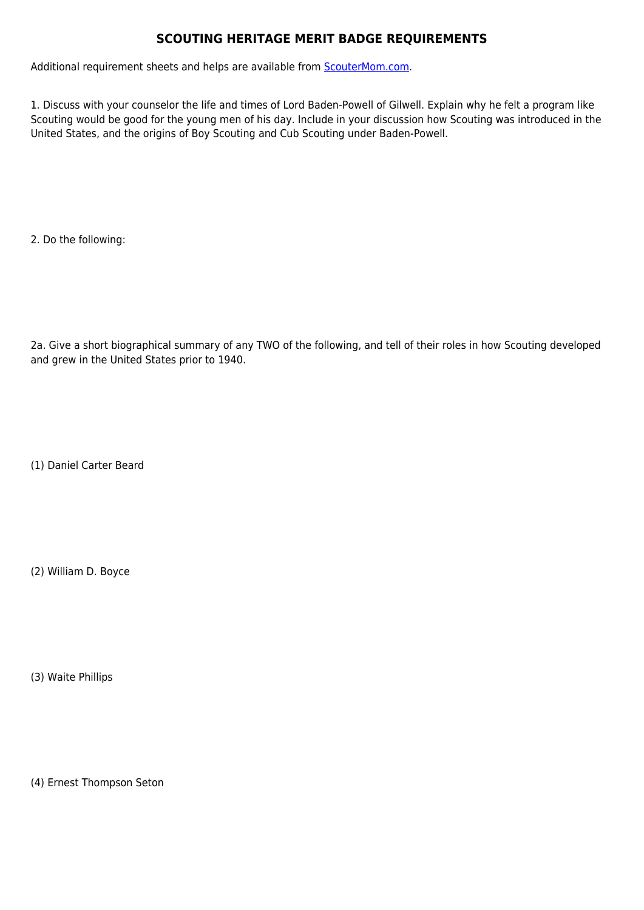## **SCOUTING HERITAGE MERIT BADGE REQUIREMENTS**

Additional requirement sheets and helps are available from **[ScouterMom.com](http://scoutermom.com).** 

1. Discuss with your counselor the life and times of Lord Baden-Powell of Gilwell. Explain why he felt a program like Scouting would be good for the young men of his day. Include in your discussion how Scouting was introduced in the United States, and the origins of Boy Scouting and Cub Scouting under Baden-Powell.

2. Do the following:

2a. Give a short biographical summary of any TWO of the following, and tell of their roles in how Scouting developed and grew in the United States prior to 1940.

(1) Daniel Carter Beard

(2) William D. Boyce

(3) Waite Phillips

(4) Ernest Thompson Seton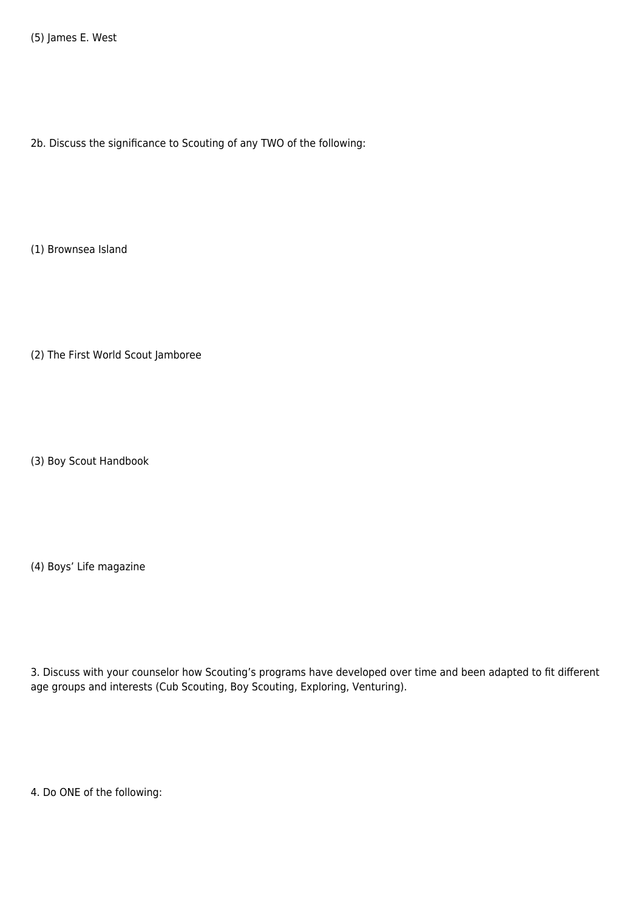2b. Discuss the significance to Scouting of any TWO of the following:

(1) Brownsea Island

(2) The First World Scout Jamboree

(3) Boy Scout Handbook

(4) Boys' Life magazine

3. Discuss with your counselor how Scouting's programs have developed over time and been adapted to fit different age groups and interests (Cub Scouting, Boy Scouting, Exploring, Venturing).

4. Do ONE of the following: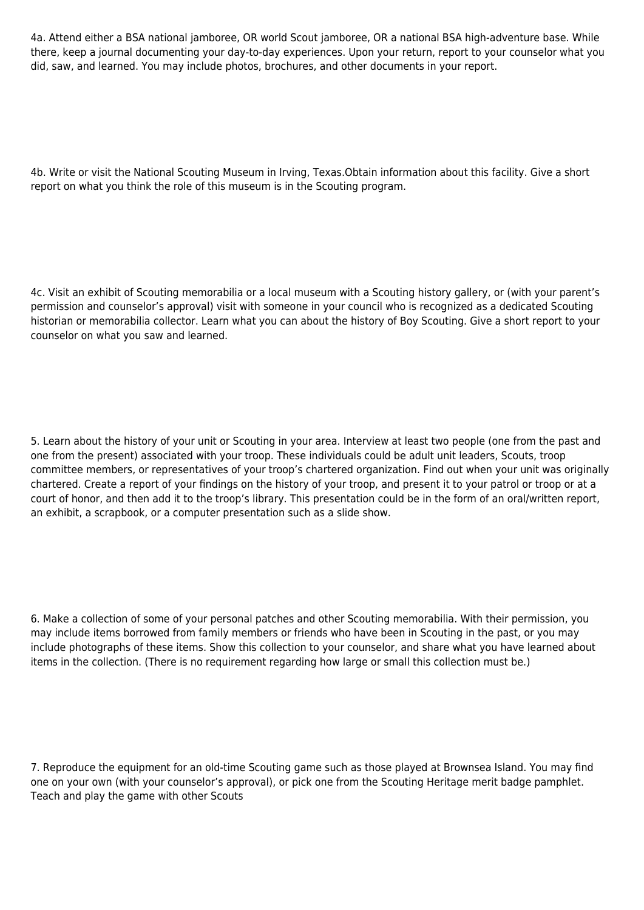4a. Attend either a BSA national jamboree, OR world Scout jamboree, OR a national BSA high-adventure base. While there, keep a journal documenting your day-to-day experiences. Upon your return, report to your counselor what you did, saw, and learned. You may include photos, brochures, and other documents in your report.

4b. Write or visit the National Scouting Museum in Irving, Texas.Obtain information about this facility. Give a short report on what you think the role of this museum is in the Scouting program.

4c. Visit an exhibit of Scouting memorabilia or a local museum with a Scouting history gallery, or (with your parent's permission and counselor's approval) visit with someone in your council who is recognized as a dedicated Scouting historian or memorabilia collector. Learn what you can about the history of Boy Scouting. Give a short report to your counselor on what you saw and learned.

5. Learn about the history of your unit or Scouting in your area. Interview at least two people (one from the past and one from the present) associated with your troop. These individuals could be adult unit leaders, Scouts, troop committee members, or representatives of your troop's chartered organization. Find out when your unit was originally chartered. Create a report of your findings on the history of your troop, and present it to your patrol or troop or at a court of honor, and then add it to the troop's library. This presentation could be in the form of an oral/written report, an exhibit, a scrapbook, or a computer presentation such as a slide show.

6. Make a collection of some of your personal patches and other Scouting memorabilia. With their permission, you may include items borrowed from family members or friends who have been in Scouting in the past, or you may include photographs of these items. Show this collection to your counselor, and share what you have learned about items in the collection. (There is no requirement regarding how large or small this collection must be.)

7. Reproduce the equipment for an old-time Scouting game such as those played at Brownsea Island. You may find one on your own (with your counselor's approval), or pick one from the Scouting Heritage merit badge pamphlet. Teach and play the game with other Scouts